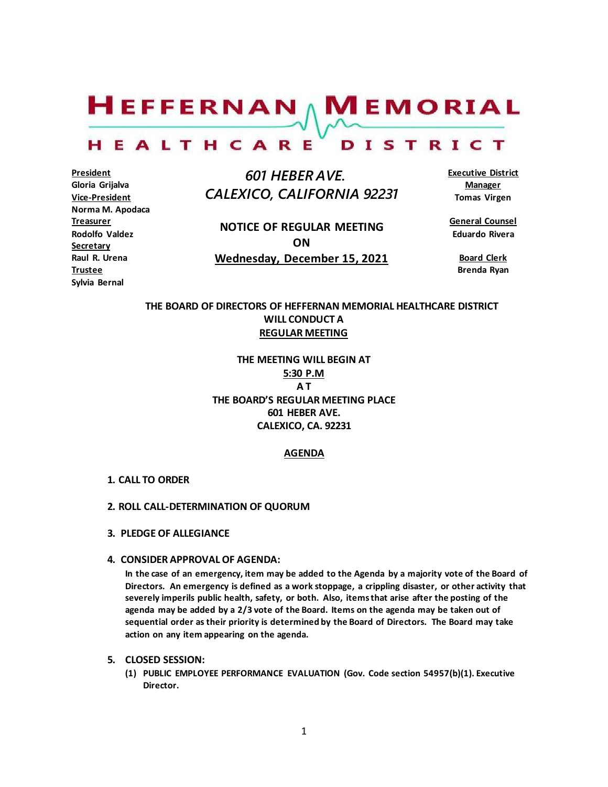$H$ EFFERNAN  $\wedge$  M EMORIAL

#### HEALTHCARE DISTRICT

**President Gloria Grijalva Vice-President Norma M. Apodaca Treasurer Rodolfo Valdez Secretary Raul R. Urena Trustee Sylvia Bernal**

 *601 HEBER AVE. CALEXICO, CALIFORNIA 92231*

**NOTICE OF REGULAR MEETING ON Wednesday, December 15, 2021** **Executive District Manager Tomas Virgen**

**General Counsel Eduardo Rivera**

> **Board Clerk Brenda Ryan**

# **THE BOARD OF DIRECTORS OF HEFFERNAN MEMORIAL HEALTHCARE DISTRICT WILL CONDUCT A REGULAR MEETING**

**THE MEETING WILL BEGIN AT 5:30 P.M A T THE BOARD'S REGULAR MEETING PLACE 601 HEBER AVE. CALEXICO, CA. 92231**

## **AGENDA**

- **1. CALL TO ORDER**
- **2. ROLL CALL-DETERMINATION OF QUORUM**
- **3. PLEDGE OF ALLEGIANCE**
- **4. CONSIDER APPROVAL OF AGENDA:**

**In the case of an emergency, item may be added to the Agenda by a majority vote of the Board of Directors. An emergency is defined as a work stoppage, a crippling disaster, or other activity that severely imperils public health, safety, or both. Also, items that arise after the posting of the agenda may be added by a 2/3 vote of the Board. Items on the agenda may be taken out of sequential order as their priority is determined by the Board of Directors. The Board may take action on any item appearing on the agenda.**

- **5. CLOSED SESSION:**
	- **(1) PUBLIC EMPLOYEE PERFORMANCE EVALUATION (Gov. Code section 54957(b)(1). Executive Director.**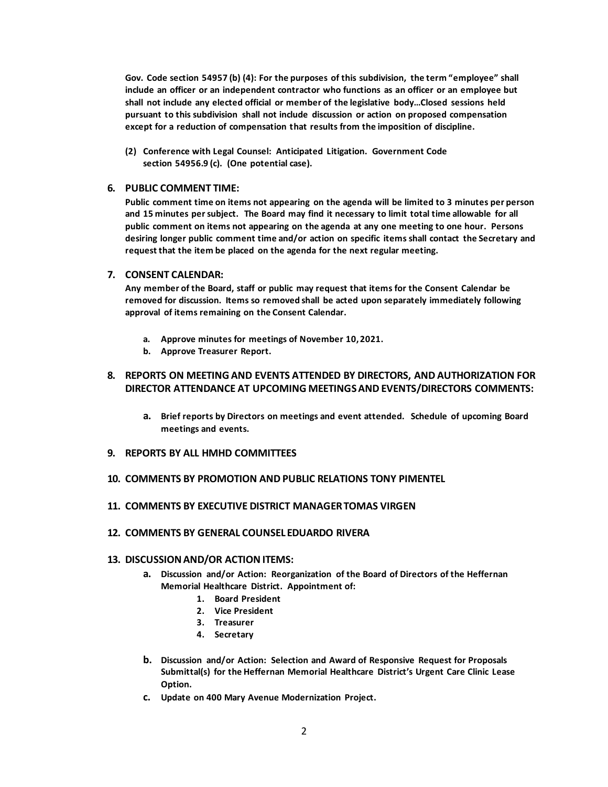**Gov. Code section 54957 (b) (4): For the purposes of this subdivision, the term "employee" shall include an officer or an independent contractor who functions as an officer or an employee but shall not include any elected official or member of the legislative body…Closed sessions held pursuant to this subdivision shall not include discussion or action on proposed compensation except for a reduction of compensation that results from the imposition of discipline.**

**(2) Conference with Legal Counsel: Anticipated Litigation. Government Code section 54956.9 (c). (One potential case).**

#### **6. PUBLIC COMMENT TIME:**

**Public comment time on items not appearing on the agenda will be limited to 3 minutes per person and 15 minutes per subject. The Board may find it necessary to limit total time allowable for all public comment on items not appearing on the agenda at any one meeting to one hour. Persons desiring longer public comment time and/or action on specific items shall contact the Secretary and request that the item be placed on the agenda for the next regular meeting.**

## **7. CONSENT CALENDAR:**

**Any member of the Board, staff or public may request that items for the Consent Calendar be removed for discussion. Items so removed shall be acted upon separately immediately following approval of items remaining on the Consent Calendar.**

- **a. Approve minutes for meetings of November 10,2021.**
- **b. Approve Treasurer Report.**

# **8. REPORTS ON MEETING AND EVENTS ATTENDED BY DIRECTORS, AND AUTHORIZATION FOR DIRECTOR ATTENDANCE AT UPCOMING MEETINGS AND EVENTS/DIRECTORS COMMENTS:**

- **a. Brief reports by Directors on meetings and event attended. Schedule of upcoming Board meetings and events.**
- **9. REPORTS BY ALL HMHD COMMITTEES**
- **10. COMMENTS BY PROMOTION AND PUBLIC RELATIONS TONY PIMENTEL**
- **11. COMMENTS BY EXECUTIVE DISTRICT MANAGERTOMAS VIRGEN**
- **12. COMMENTS BY GENERAL COUNSEL EDUARDO RIVERA**

## **13. DISCUSSION AND/OR ACTIONITEMS:**

- **a. Discussion and/or Action: Reorganization of the Board of Directors of the Heffernan Memorial Healthcare District. Appointment of:**
	- **1. Board President**
	- **2. Vice President**
	- **3. Treasurer**
	- **4. Secretary**
- **b. Discussion and/or Action: Selection and Award of Responsive Request for Proposals Submittal(s) for the Heffernan Memorial Healthcare District's Urgent Care Clinic Lease Option.**
- **c. Update on 400 Mary Avenue Modernization Project.**